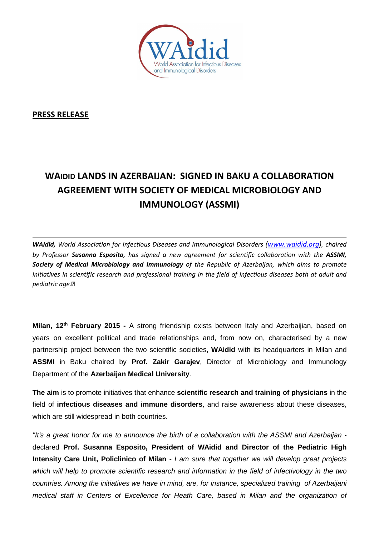

**PRESS RELEASE**

## **WAIDID LANDS IN AZERBAIJAN: SIGNED IN BAKU A COLLABORATION AGREEMENT WITH SOCIETY OF MEDICAL MICROBIOLOGY AND IMMUNOLOGY (ASSMI)**

*WAidid,* World Association for Infectious Diseases and Immunological Disorders (www.waidid.org), chaired *by Professor Susanna Esposito, has signed a new agreement for scientific collaboration with the ASSMI, Society of Medical Microbiology and Immunology of the Republic of Azerbaijan, which aims to promote* initiatives in scientific research and professional training in the field of infectious diseases both at adult and *pediatric age.* 

**Milan, 12th February 2015 -** A strong friendship exists between Italy and Azerbaijian, based on years on excellent political and trade relationships and, from now on, characterised by a new partnership project between the two scientific societies, **WAidid** with its headquarters in Milan and **ASSMI** in Baku chaired by **Prof. Zakir Garajev**, Director of Microbiology and Immunology Department of the **Azerbaijan Medical University**.

**The aim** is to promote initiatives that enhance **scientific research and training of physicians** in the field of **infectious diseases and immune disorders**, and raise awareness about these diseases, which are still widespread in both countries.

"It's a great honor for me to announce the birth of a collaboration with the ASSMI and Azerbaijan declared **Prof. Susanna Esposito, President of WAidid and Director of the Pediatric High Intensity Care Unit, Policlinico of Milan** - I am sure that together we will develop great projects which will help to promote scientific research and information in the field of infectivology in the two countries. Among the initiatives we have in mind, are, for instance, specialized training of Azerbaijani medical staff in Centers of Excellence for Heath Care, based in Milan and the organization of